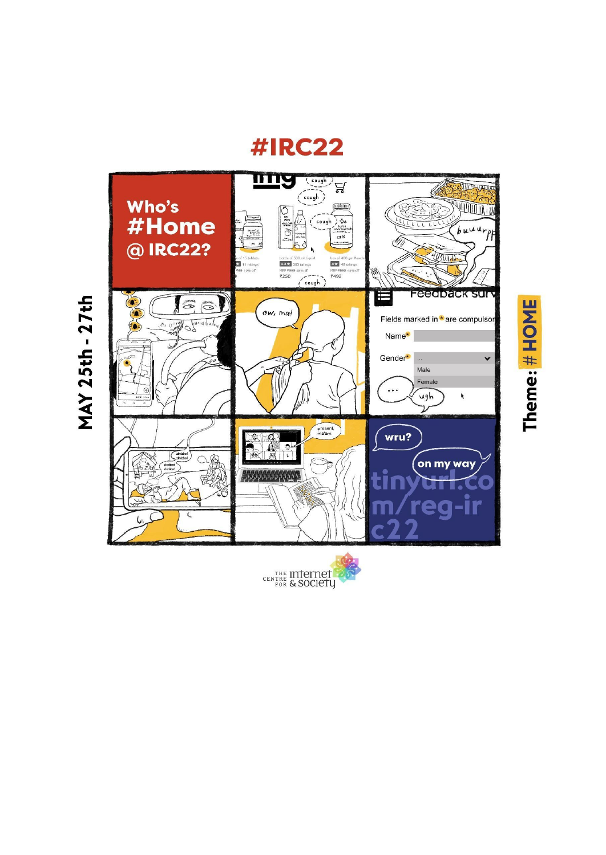# **#IRC22**



Theme: # HOME

**CENTRE INTERTAINER** 

**MAY 25th - 27th**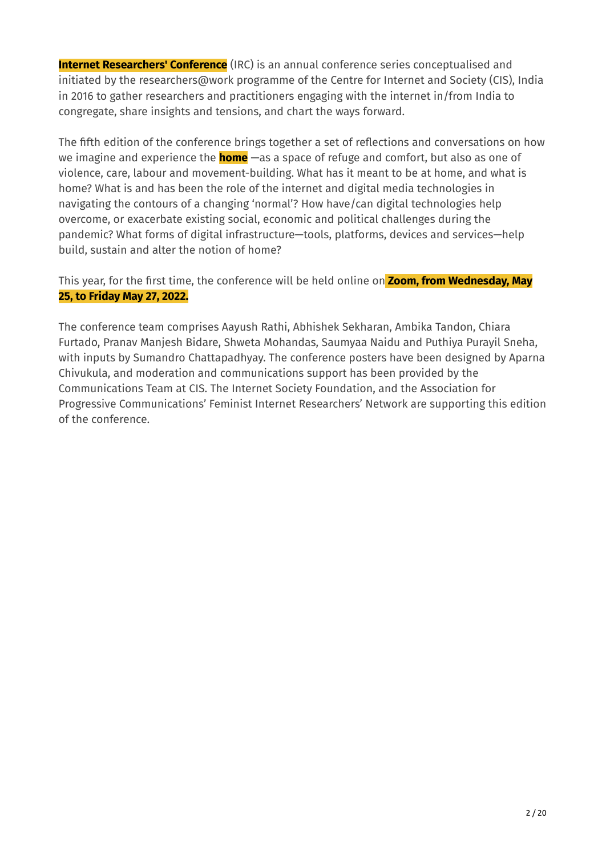**Internet Researchers' Conference** (IRC) is an annual conference series conceptualised and initiated by the researchers@work programme of the Centre for Internet and Society (CIS), India in 2016 to gather researchers and practitioners engaging with the internet in/from India to congregate, share insights and tensions, and chart the ways forward.

The fifth edition of the conference brings together a set of reflections and conversations on how we imagine and experience the **home** —as a space of refuge and comfort, but also as one of violence, care, labour and movement-building. What has it meant to be at home, and what is home? What is and has been the role of the internet and digital media technologies in navigating the contours of a changing 'normal'? How have/can digital technologies help overcome, or exacerbate existing social, economic and political challenges during the pandemic? What forms of digital infrastructure—tools, platforms, devices and services—help build, sustain and alter the notion of home?

This year, for the first time, the conference will be held online on **Zoom, from Wednesday, May 25, to Friday May 27, 2022.**

The conference team comprises Aayush Rathi, Abhishek Sekharan, Ambika Tandon, Chiara Furtado, Pranav Manjesh Bidare, Shweta Mohandas, Saumyaa Naidu and Puthiya Purayil Sneha, with inputs by Sumandro Chattapadhyay. The conference posters have been designed by Aparna Chivukula, and moderation and communications support has been provided by the Communications Team at CIS. The Internet Society Foundation, and the Association for Progressive Communications' Feminist Internet Researchers' Network are supporting this edition of the conference.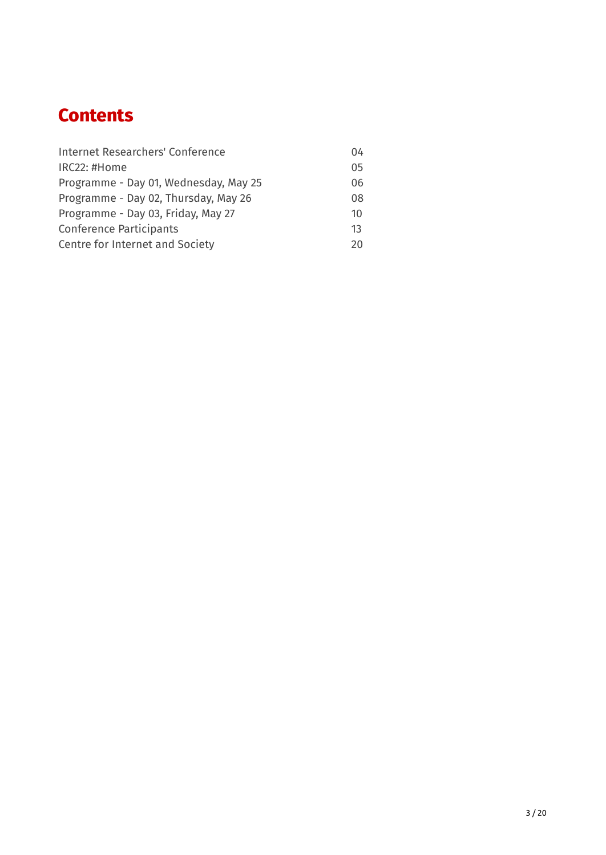# **Contents**

| Internet Researchers' Conference      | 04 |
|---------------------------------------|----|
| IRC22: #Home                          | 05 |
| Programme - Day 01, Wednesday, May 25 | 06 |
| Programme - Day 02, Thursday, May 26  | 08 |
| Programme - Day 03, Friday, May 27    | 10 |
| <b>Conference Participants</b>        | 13 |
| Centre for Internet and Society       | 20 |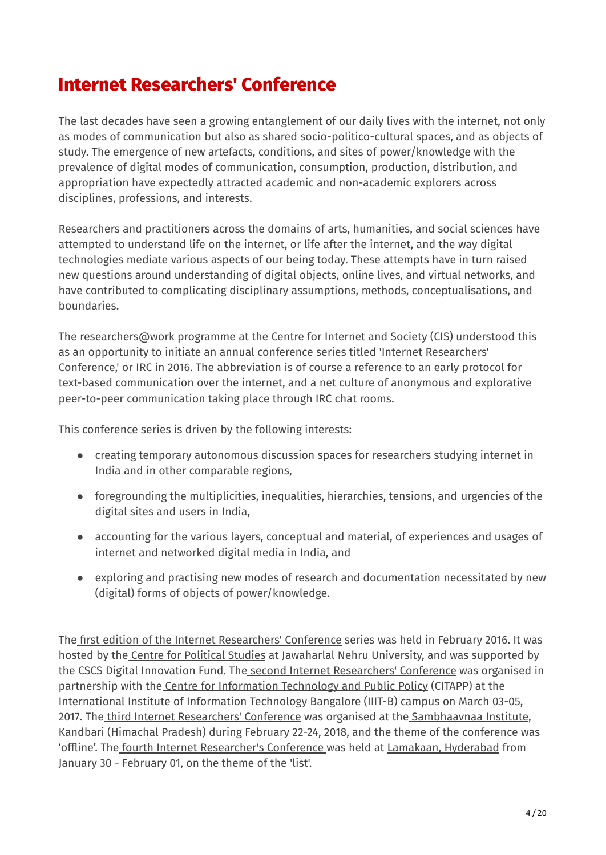# **Internet Researchers' Conference**

The last decades have seen a growing entanglement of our daily lives with the internet, not only as modes of communication but also as shared socio-politico-cultural spaces, and as objects of study. The emergence of new artefacts, conditions, and sites of power/knowledge with the prevalence of digital modes of communication, consumption, production, distribution, and appropriation have expectedly attracted academic and non-academic explorers across disciplines, professions, and interests.

Researchers and practitioners across the domains of arts, humanities, and social sciences have attempted to understand life on the internet, or life after the internet, and the way digital technologies mediate various aspects of our being today. These attempts have in turn raised new questions around understanding of digital objects, online lives, and virtual networks, and have contributed to complicating disciplinary assumptions, methods, conceptualisations, and boundaries.

The researchers@work programme at the Centre for Internet and Society (CIS) understood this as an opportunity to initiate an annual conference series titled 'Internet Researchers' Conference,' or IRC in 2016. The abbreviation is of course a reference to an early protocol for text-based communication over the internet, and a net culture of anonymous and explorative peer-to-peer communication taking place through IRC chat rooms.

This conference series is driven by the following interests:

- creating temporary autonomous discussion spaces for researchers studying internet in India and in other comparable regions,
- foregrounding the multiplicities, inequalities, hierarchies, tensions, and urgencies of the digital sites and users in India,
- accounting for the various layers, conceptual and material, of experiences and usages of internet and networked digital media in India, and
- exploring and practising new modes of research and documentation necessitated by new (digital) forms of objects of power/knowledge.

The first edition of the Internet [Researchers'](https://cis-india.org/raw/irc16) Conference series was held in February 2016. It was hosted by the Centre for [Political](https://www.jnu.ac.in/SSS/CPS/) Studies at Jawaharlal Nehru University, and was supported by the CSCS Digital Innovation Fund. The second Internet [Researchers'](https://cis-india.org/raw/irc17) Conference was organised in partnership with the Centre for [Information](http://citapp.iiitb.ac.in/) Technology and Public Policy (CITAPP) at the International Institute of Information Technology Bangalore (IIIT-B) campus on March 03-05, 2017. The third Internet [Researchers'](https://cis-india.org/raw/irc18) Conference was organised at the [Sambhaavnaa](http://www.sambhaavnaa.org/) Institute, Kandbari (Himachal Pradesh) during February 22-24, 2018, and the theme of the conference was 'offline'. The fourth Internet [Researcher's](https://cis-india.org/raw/irc19-list) Conference was held at Lamakaan, [Hyderabad](https://digital.lamakaan.com/) from January 30 - February 01, on the theme of the 'list'.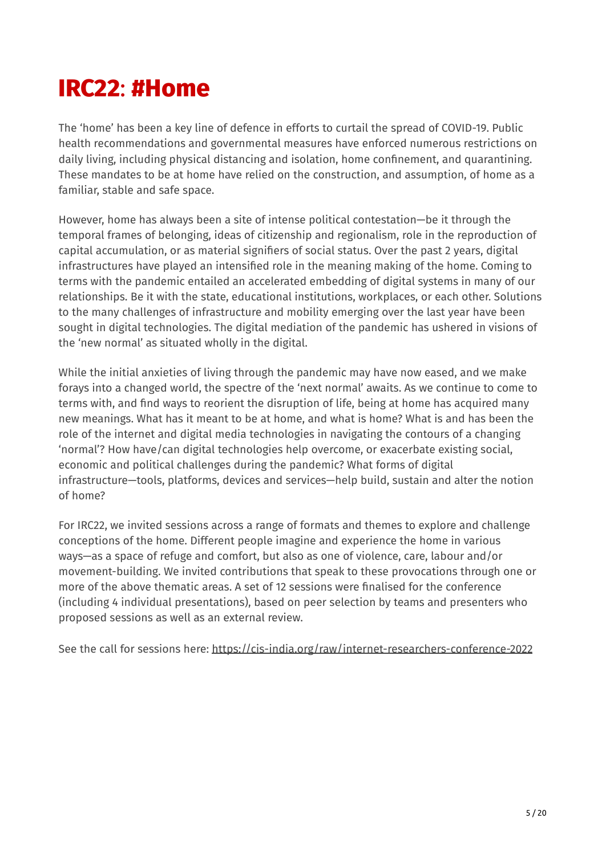# **IRC22**: **#Home**

The 'home' has been a key line of defence in efforts to curtail the spread of COVID-19. Public health recommendations and governmental measures have enforced numerous restrictions on daily living, including physical distancing and isolation, home confinement, and quarantining. These mandates to be at home have relied on the construction, and assumption, of home as a familiar, stable and safe space.

However, home has always been a site of intense political contestation—be it through the temporal frames of belonging, ideas of citizenship and regionalism, role in the reproduction of capital accumulation, or as material signifiers of social status. Over the past 2 years, digital infrastructures have played an intensified role in the meaning making of the home. Coming to terms with the pandemic entailed an accelerated embedding of digital systems in many of our relationships. Be it with the state, educational institutions, workplaces, or each other. Solutions to the many challenges of infrastructure and mobility emerging over the last year have been sought in digital technologies. The digital mediation of the pandemic has ushered in visions of the 'new normal' as situated wholly in the digital.

While the initial anxieties of living through the pandemic may have now eased, and we make forays into a changed world, the spectre of the 'next normal' awaits. As we continue to come to terms with, and find ways to reorient the disruption of life, being at home has acquired many new meanings. What has it meant to be at home, and what is home? What is and has been the role of the internet and digital media technologies in navigating the contours of a changing 'normal'? How have/can digital technologies help overcome, or exacerbate existing social, economic and political challenges during the pandemic? What forms of digital infrastructure—tools, platforms, devices and services—help build, sustain and alter the notion of home?

For IRC22, we invited sessions across a range of formats and themes to explore and challenge conceptions of the home. Different people imagine and experience the home in various ways—as a space of refuge and comfort, but also as one of violence, care, labour and/or movement-building. We invited contributions that speak to these provocations through one or more of the above thematic areas. A set of 12 sessions were finalised for the conference (including 4 individual presentations), based on peer selection by teams and presenters who proposed sessions as well as an external review.

See the call for sessions here: <https://cis-india.org/raw/internet-researchers-conference-2022>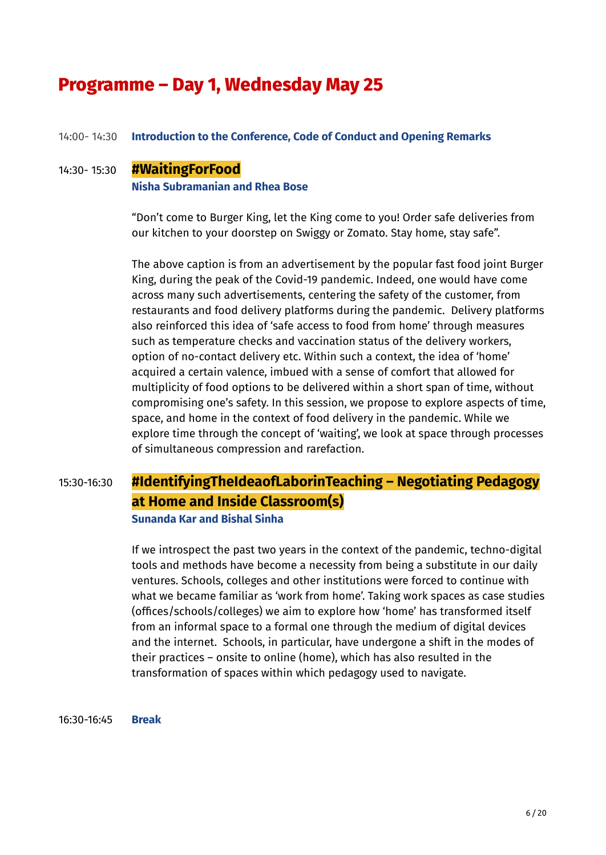## **Programme – Day 1, Wednesday May 25**

14:00- 14:30 **Introduction to the Conference, Code of Conduct and Opening Remarks**

#### 14:30- 15:30 **#WaitingForFood Nisha Subramanian and Rhea Bose**

"Don't come to Burger King, let the King come to you! Order safe deliveries from our kitchen to your doorstep on Swiggy or Zomato. Stay home, stay safe".

The above caption is from an advertisement by the popular fast food joint Burger King, during the peak of the Covid-19 pandemic. Indeed, one would have come across many such advertisements, centering the safety of the customer, from restaurants and food delivery platforms during the pandemic. Delivery platforms also reinforced this idea of 'safe access to food from home' through measures such as temperature checks and vaccination status of the delivery workers, option of no-contact delivery etc. Within such a context, the idea of 'home' acquired a certain valence, imbued with a sense of comfort that allowed for multiplicity of food options to be delivered within a short span of time, without compromising one's safety. In this session, we propose to explore aspects of time, space, and home in the context of food delivery in the pandemic. While we explore time through the concept of 'waiting', we look at space through processes of simultaneous compression and rarefaction.

### 15:30-16:30 **#IdentifyingTheIdeaofLaborinTeaching – Negotiating Pedagogy at Home and Inside Classroom(s) Sunanda Kar and Bishal Sinha**

If we introspect the past two years in the context of the pandemic, techno-digital tools and methods have become a necessity from being a substitute in our daily ventures. Schools, colleges and other institutions were forced to continue with what we became familiar as 'work from home'. Taking work spaces as case studies (offices/schools/colleges) we aim to explore how 'home' has transformed itself from an informal space to a formal one through the medium of digital devices and the internet. Schools, in particular, have undergone a shift in the modes of their practices – onsite to online (home), which has also resulted in the transformation of spaces within which pedagogy used to navigate.

16:30-16:45 **Break**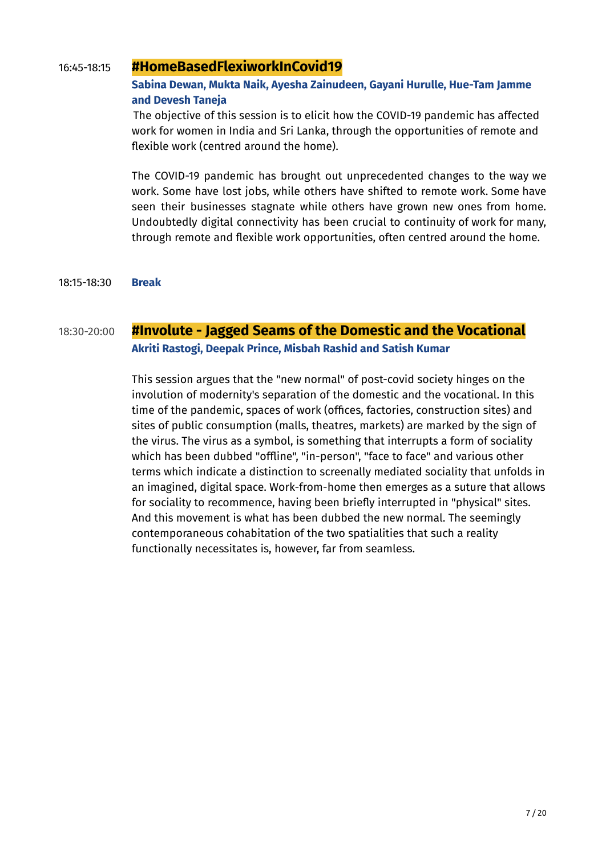#### 16:45-18:15 **#HomeBasedFlexiworkInCovid19**

### **Sabina Dewan, Mukta Naik, Ayesha Zainudeen, Gayani Hurulle, Hue-Tam Jamme and Devesh Taneja**

The objective of this session is to elicit how the COVID-19 pandemic has affected work for women in India and Sri Lanka, through the opportunities of remote and flexible work (centred around the home).

The COVID-19 pandemic has brought out unprecedented changes to the way we work. Some have lost jobs, while others have shifted to remote work. Some have seen their businesses stagnate while others have grown new ones from home. Undoubtedly digital connectivity has been crucial to continuity of work for many, through remote and flexible work opportunities, often centred around the home.

18:15-18:30 **Break**

### 18:30-20:00 **#Involute - Jagged Seams of the Domestic and the Vocational Akriti Rastogi, Deepak Prince, Misbah Rashid and Satish Kumar**

This session argues that the "new normal" of post-covid society hinges on the involution of modernity's separation of the domestic and the vocational. In this time of the pandemic, spaces of work (offices, factories, construction sites) and sites of public consumption (malls, theatres, markets) are marked by the sign of the virus. The virus as a symbol, is something that interrupts a form of sociality which has been dubbed "offline", "in-person", "face to face" and various other terms which indicate a distinction to screenally mediated sociality that unfolds in an imagined, digital space. Work-from-home then emerges as a suture that allows for sociality to recommence, having been briefly interrupted in "physical" sites. And this movement is what has been dubbed the new normal. The seemingly contemporaneous cohabitation of the two spatialities that such a reality functionally necessitates is, however, far from seamless.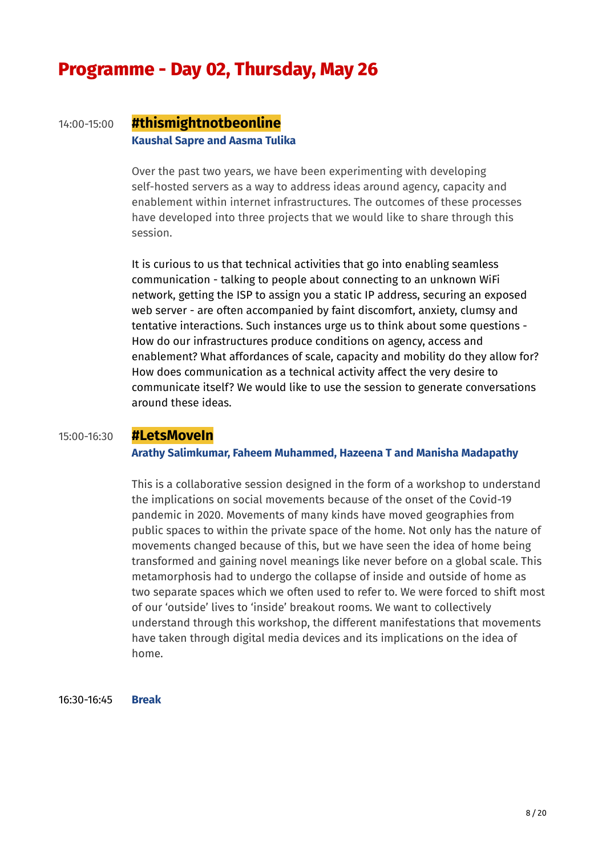## **Programme - Day 02, Thursday, May 26**

### 14:00-15:00 **#thismightnotbeonline Kaushal Sapre and Aasma Tulika**

Over the past two years, we have been experimenting with developing self-hosted servers as a way to address ideas around agency, capacity and enablement within internet infrastructures. The outcomes of these processes have developed into three projects that we would like to share through this session.

It is curious to us that technical activities that go into enabling seamless communication - talking to people about connecting to an unknown WiFi network, getting the ISP to assign you a static IP address, securing an exposed web server - are often accompanied by faint discomfort, anxiety, clumsy and tentative interactions. Such instances urge us to think about some questions - How do our infrastructures produce conditions on agency, access and enablement? What affordances of scale, capacity and mobility do they allow for? How does communication as a technical activity affect the very desire to communicate itself? We would like to use the session to generate conversations around these ideas.

#### 15:00-16:30 **#LetsMoveIn**

#### **Arathy Salimkumar, Faheem Muhammed, Hazeena T and Manisha Madapathy**

This is a collaborative session designed in the form of a workshop to understand the implications on social movements because of the onset of the Covid-19 pandemic in 2020. Movements of many kinds have moved geographies from public spaces to within the private space of the home. Not only has the nature of movements changed because of this, but we have seen the idea of home being transformed and gaining novel meanings like never before on a global scale. This metamorphosis had to undergo the collapse of inside and outside of home as two separate spaces which we often used to refer to. We were forced to shift most of our 'outside' lives to 'inside' breakout rooms. We want to collectively understand through this workshop, the different manifestations that movements have taken through digital media devices and its implications on the idea of home.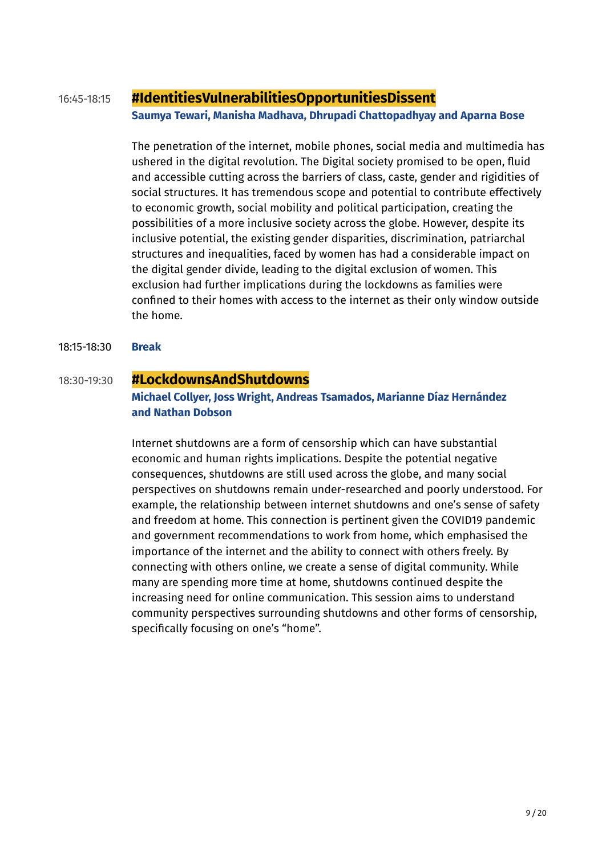### 16:45-18:15 **#IdentitiesVulnerabilitiesOpportunitiesDissent Saumya Tewari, Manisha Madhava, Dhrupadi Chattopadhyay and Aparna Bose**

The penetration of the internet, mobile phones, social media and multimedia has ushered in the digital revolution. The Digital society promised to be open, fluid and accessible cutting across the barriers of class, caste, gender and rigidities of social structures. It has tremendous scope and potential to contribute effectively to economic growth, social mobility and political participation, creating the possibilities of a more inclusive society across the globe. However, despite its inclusive potential, the existing gender disparities, discrimination, patriarchal structures and inequalities, faced by women has had a considerable impact on the digital gender divide, leading to the digital exclusion of women. This exclusion had further implications during the lockdowns as families were confined to their homes with access to the internet as their only window outside the home.

#### 18:15-18:30 **Break**

#### 18:30-19:30 **#LockdownsAndShutdowns**

#### **Michael Collyer, Joss Wright, Andreas Tsamados, Marianne Díaz Hernández and Nathan Dobson**

Internet shutdowns are a form of censorship which can have substantial economic and human rights implications. Despite the potential negative consequences, shutdowns are still used across the globe, and many social perspectives on shutdowns remain under-researched and poorly understood. For example, the relationship between internet shutdowns and one's sense of safety and freedom at home. This connection is pertinent given the COVID19 pandemic and government recommendations to work from home, which emphasised the importance of the internet and the ability to connect with others freely. By connecting with others online, we create a sense of digital community. While many are spending more time at home, shutdowns continued despite the increasing need for online communication. This session aims to understand community perspectives surrounding shutdowns and other forms of censorship, specifically focusing on one's "home".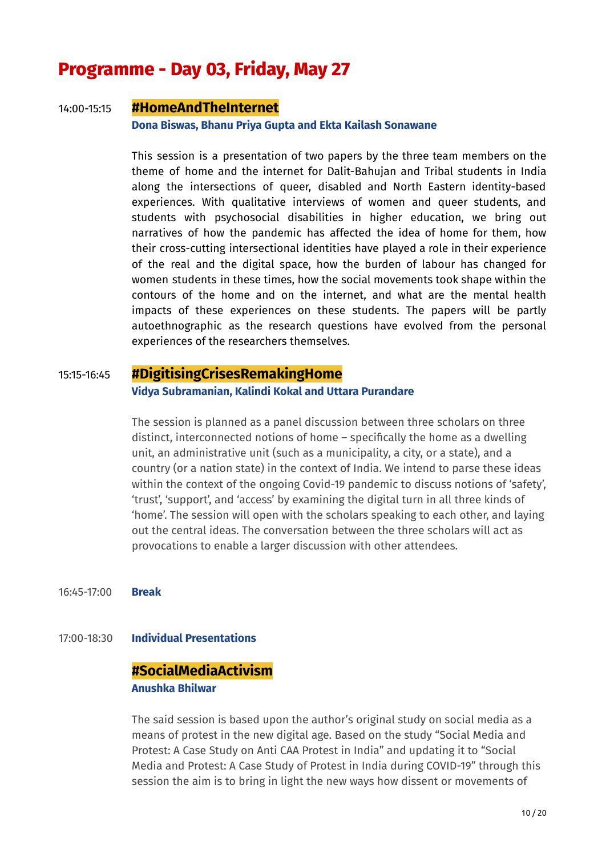## **Programme - Day 03, Friday, May 27**

#### 14:00-15:15 **#HomeAndTheInternet**

#### **Dona Biswas, Bhanu Priya Gupta and Ekta Kailash Sonawane**

This session is a presentation of two papers by the three team members on the theme of home and the internet for Dalit-Bahujan and Tribal students in India along the intersections of queer, disabled and North Eastern identity-based experiences. With qualitative interviews of women and queer students, and students with psychosocial disabilities in higher education, we bring out narratives of how the pandemic has affected the idea of home for them, how their cross-cutting intersectional identities have played a role in their experience of the real and the digital space, how the burden of labour has changed for women students in these times, how the social movements took shape within the contours of the home and on the internet, and what are the mental health impacts of these experiences on these students. The papers will be partly autoethnographic as the research questions have evolved from the personal experiences of the researchers themselves.

#### 15:15-16:45 **#DigitisingCrisesRemakingHome**

#### **Vidya Subramanian, Kalindi Kokal and Uttara Purandare**

The session is planned as a panel discussion between three scholars on three distinct, interconnected notions of home – specifically the home as a dwelling unit, an administrative unit (such as a municipality, a city, or a state), and a country (or a nation state) in the context of India. We intend to parse these ideas within the context of the ongoing Covid-19 pandemic to discuss notions of 'safety', 'trust', 'support', and 'access' by examining the digital turn in all three kinds of 'home'. The session will open with the scholars speaking to each other, and laying out the central ideas. The conversation between the three scholars will act as provocations to enable a larger discussion with other attendees.

16:45-17:00 **Break**

17:00-18:30 **Individual Presentations**

#### **#SocialMediaActivism**

#### **Anushka Bhilwar**

The said session is based upon the author's original study on social media as a means of protest in the new digital age. Based on the study "Social Media and Protest: A Case Study on Anti CAA Protest in India" and updating it to "Social Media and Protest: A Case Study of Protest in India during COVID-19" through this session the aim is to bring in light the new ways how dissent or movements of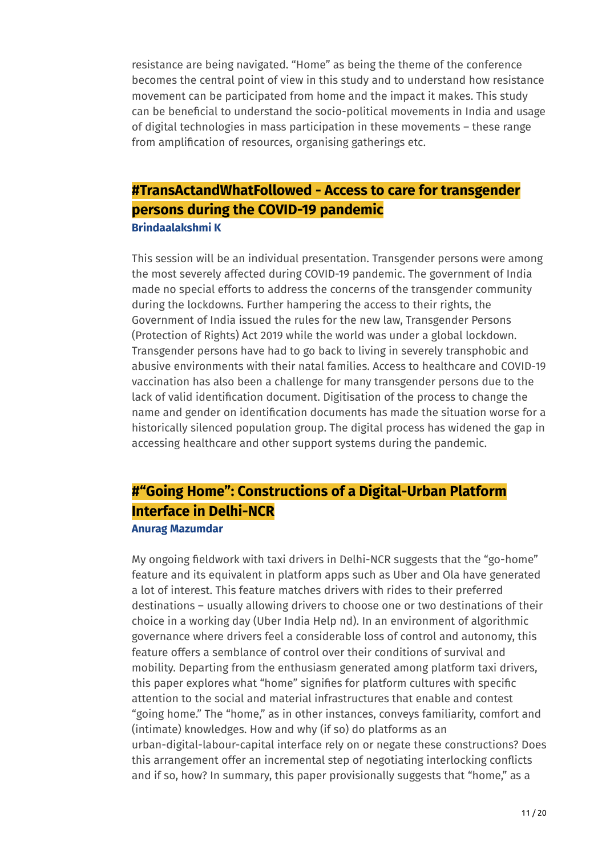resistance are being navigated. "Home" as being the theme of the conference becomes the central point of view in this study and to understand how resistance movement can be participated from home and the impact it makes. This study can be beneficial to understand the socio-political movements in India and usage of digital technologies in mass participation in these movements – these range from amplification of resources, organising gatherings etc.

### **#TransActandWhatFollowed - Access to care for transgender persons during the COVID-19 pandemic Brindaalakshmi K**

This session will be an individual presentation. Transgender persons were among the most severely affected during COVID-19 pandemic. The government of India made no special efforts to address the concerns of the transgender community during the lockdowns. Further hampering the access to their rights, the Government of India issued the rules for the new law, Transgender Persons (Protection of Rights) Act 2019 while the world was under a global lockdown. Transgender persons have had to go back to living in severely transphobic and abusive environments with their natal families. Access to healthcare and COVID-19 vaccination has also been a challenge for many transgender persons due to the lack of valid identification document. Digitisation of the process to change the name and gender on identification documents has made the situation worse for a historically silenced population group. The digital process has widened the gap in accessing healthcare and other support systems during the pandemic.

### **#"Going Home": Constructions of a Digital-Urban Platform Interface in Delhi-NCR**

#### **Anurag Mazumdar**

My ongoing fieldwork with taxi drivers in Delhi-NCR suggests that the "go-home" feature and its equivalent in platform apps such as Uber and Ola have generated a lot of interest. This feature matches drivers with rides to their preferred destinations – usually allowing drivers to choose one or two destinations of their choice in a working day (Uber India Help nd). In an environment of algorithmic governance where drivers feel a considerable loss of control and autonomy, this feature offers a semblance of control over their conditions of survival and mobility. Departing from the enthusiasm generated among platform taxi drivers, this paper explores what "home" signifies for platform cultures with specific attention to the social and material infrastructures that enable and contest "going home." The "home," as in other instances, conveys familiarity, comfort and (intimate) knowledges. How and why (if so) do platforms as an urban-digital-labour-capital interface rely on or negate these constructions? Does this arrangement offer an incremental step of negotiating interlocking conflicts and if so, how? In summary, this paper provisionally suggests that "home," as a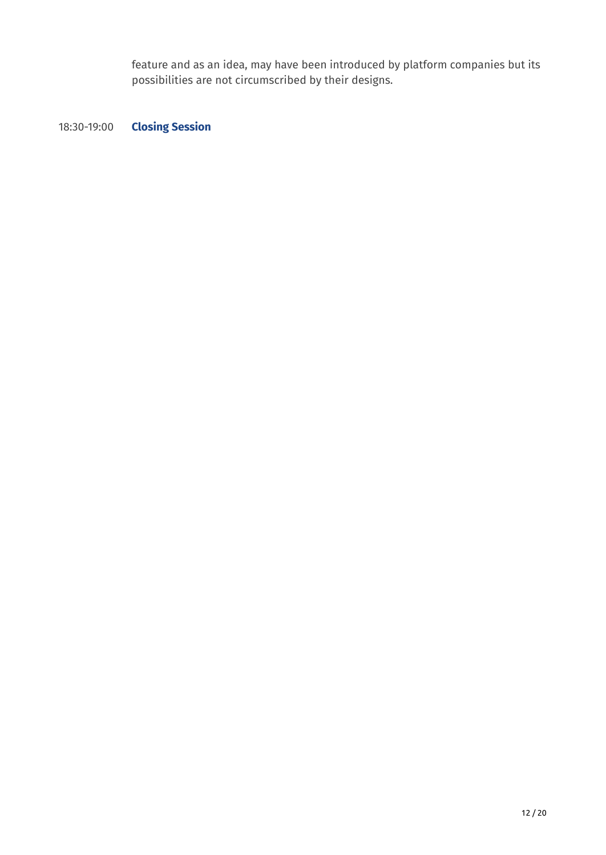feature and as an idea, may have been introduced by platform companies but its possibilities are not circumscribed by their designs.

18:30-19:00 **Closing Session**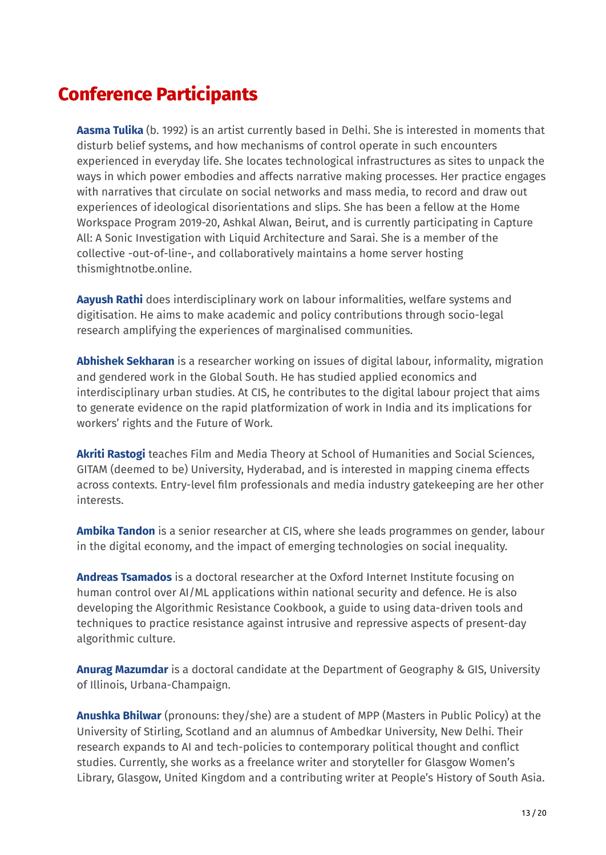# **Conference Participants**

**Aasma Tulika** (b. 1992) is an artist currently based in Delhi. She is interested in moments that disturb belief systems, and how mechanisms of control operate in such encounters experienced in everyday life. She locates technological infrastructures as sites to unpack the ways in which power embodies and affects narrative making processes. Her practice engages with narratives that circulate on social networks and mass media, to record and draw out experiences of ideological disorientations and slips. She has been a fellow at the Home Workspace Program 2019-20, Ashkal Alwan, Beirut, and is currently participating in Capture All: A Sonic Investigation with Liquid Architecture and Sarai. She is a member of the collective -out-of-line-, and collaboratively maintains a home server hosting thismightnotbe.online.

**Aayush Rathi** does interdisciplinary work on labour informalities, welfare systems and digitisation. He aims to make academic and policy contributions through socio-legal research amplifying the experiences of marginalised communities.

**Abhishek Sekharan** is a researcher working on issues of digital labour, informality, migration and gendered work in the Global South. He has studied applied economics and interdisciplinary urban studies. At CIS, he contributes to the digital labour project that aims to generate evidence on the rapid platformization of work in India and its implications for workers' rights and the Future of Work.

**Akriti Rastogi** teaches Film and Media Theory at School of Humanities and Social Sciences, GITAM (deemed to be) University, Hyderabad, and is interested in mapping cinema effects across contexts. Entry-level film professionals and media industry gatekeeping are her other interests.

**Ambika Tandon** is a senior researcher at CIS, where she leads programmes on gender, labour in the digital economy, and the impact of emerging technologies on social inequality.

**Andreas Tsamados** is a doctoral researcher at the Oxford Internet Institute focusing on human control over AI/ML applications within national security and defence. He is also developing the Algorithmic Resistance Cookbook, a guide to using data-driven tools and techniques to practice resistance against intrusive and repressive aspects of present-day algorithmic culture.

**Anurag Mazumdar** is a doctoral candidate at the Department of Geography & GIS, University of Illinois, Urbana-Champaign.

**Anushka Bhilwar** (pronouns: they/she) are a student of MPP (Masters in Public Policy) at the University of Stirling, Scotland and an alumnus of Ambedkar University, New Delhi. Their research expands to AI and tech-policies to contemporary political thought and conflict studies. Currently, she works as a freelance writer and storyteller for Glasgow Women's Library, Glasgow, United Kingdom and a contributing writer at People's History of South Asia.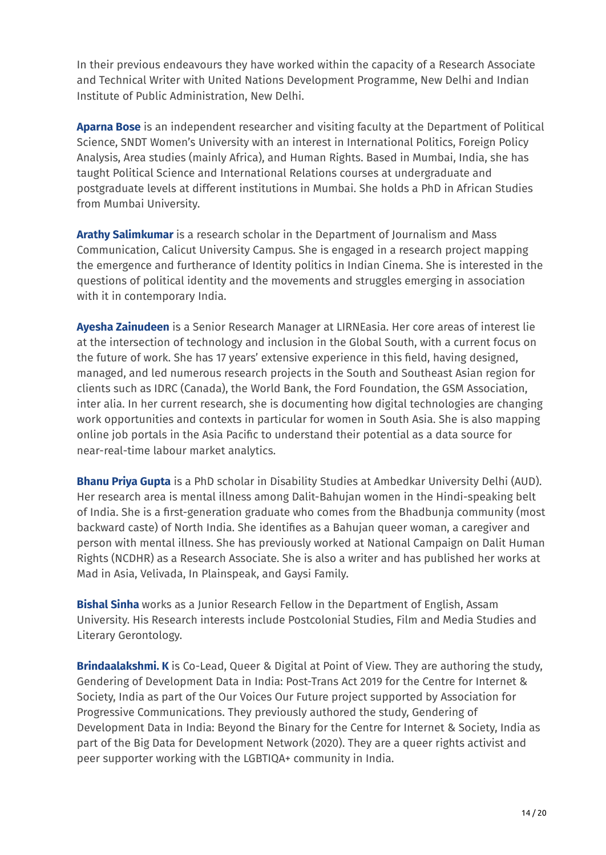In their previous endeavours they have worked within the capacity of a Research Associate and Technical Writer with United Nations Development Programme, New Delhi and Indian Institute of Public Administration, New Delhi.

**Aparna Bose** is an independent researcher and visiting faculty at the Department of Political Science, SNDT Women's University with an interest in International Politics, Foreign Policy Analysis, Area studies (mainly Africa), and Human Rights. Based in Mumbai, India, she has taught Political Science and International Relations courses at undergraduate and postgraduate levels at different institutions in Mumbai. She holds a PhD in African Studies from Mumbai University.

**Arathy Salimkumar** is a research scholar in the Department of Journalism and Mass Communication, Calicut University Campus. She is engaged in a research project mapping the emergence and furtherance of Identity politics in Indian Cinema. She is interested in the questions of political identity and the movements and struggles emerging in association with it in contemporary India.

**Ayesha Zainudeen** is a Senior Research Manager at LIRNEasia. Her core areas of interest lie at the intersection of technology and inclusion in the Global South, with a current focus on the future of work. She has 17 years' extensive experience in this field, having designed, managed, and led numerous research projects in the South and Southeast Asian region for clients such as IDRC (Canada), the World Bank, the Ford Foundation, the GSM Association, inter alia. In her current research, she is documenting how digital technologies are changing work opportunities and contexts in particular for women in South Asia. She is also mapping online job portals in the Asia Pacific to understand their potential as a data source for near-real-time labour market analytics.

**Bhanu Priya Gupta** is a PhD scholar in Disability Studies at Ambedkar University Delhi (AUD). Her research area is mental illness among Dalit-Bahujan women in the Hindi-speaking belt of India. She is a first-generation graduate who comes from the Bhadbunja community (most backward caste) of North India. She identifies as a Bahujan queer woman, a caregiver and person with mental illness. She has previously worked at National Campaign on Dalit Human Rights (NCDHR) as a Research Associate. She is also a writer and has published her works at Mad in Asia, Velivada, In Plainspeak, and Gaysi Family.

**Bishal Sinha** works as a Junior Research Fellow in the Department of English, Assam University. His Research interests include Postcolonial Studies, Film and Media Studies and Literary Gerontology.

**Brindaalakshmi. K** is Co-Lead, Queer & Digital at Point of View. They are authoring the study, Gendering of Development Data in India: Post-Trans Act 2019 for the Centre for Internet & Society, India as part of the Our Voices Our Future project supported by Association for Progressive Communications. They previously authored the study, Gendering of Development Data in India: Beyond the Binary for the Centre for Internet & Society, India as part of the Big Data for Development Network (2020). They are a queer rights activist and peer supporter working with the LGBTIQA+ community in India.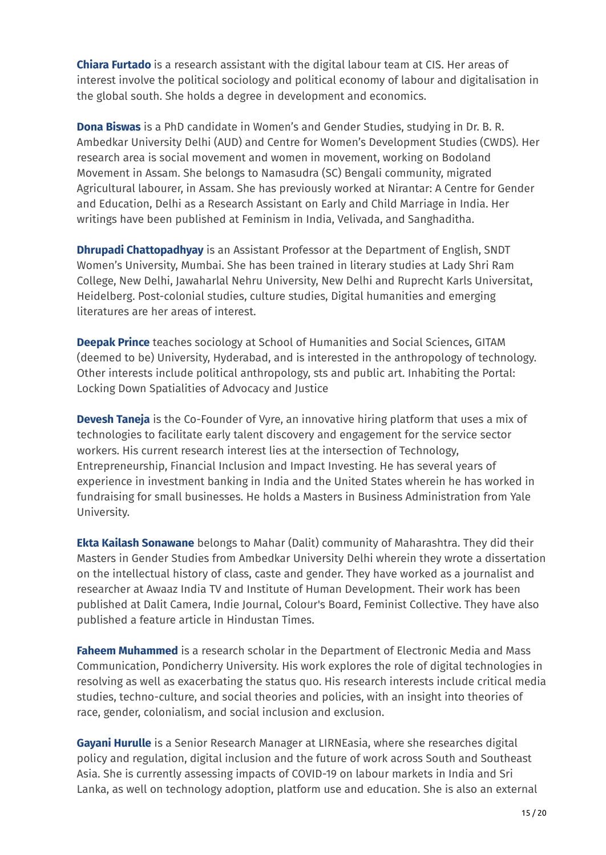**Chiara Furtado** is a research assistant with the digital labour team at CIS. Her areas of interest involve the political sociology and political economy of labour and digitalisation in the global south. She holds a degree in development and economics.

**Dona Biswas** is a PhD candidate in Women's and Gender Studies, studying in Dr. B. R. Ambedkar University Delhi (AUD) and Centre for Women's Development Studies (CWDS). Her research area is social movement and women in movement, working on Bodoland Movement in Assam. She belongs to Namasudra (SC) Bengali community, migrated Agricultural labourer, in Assam. She has previously worked at Nirantar: A Centre for Gender and Education, Delhi as a Research Assistant on Early and Child Marriage in India. Her writings have been published at Feminism in India, Velivada, and Sanghaditha.

**Dhrupadi Chattopadhyay** is an Assistant Professor at the Department of English, SNDT Women's University, Mumbai. She has been trained in literary studies at Lady Shri Ram College, New Delhi, Jawaharlal Nehru University, New Delhi and Ruprecht Karls Universitat, Heidelberg. Post-colonial studies, culture studies, Digital humanities and emerging literatures are her areas of interest.

**Deepak Prince** teaches sociology at School of Humanities and Social Sciences, GITAM (deemed to be) University, Hyderabad, and is interested in the anthropology of technology. Other interests include political anthropology, sts and public art. Inhabiting the Portal: Locking Down Spatialities of Advocacy and Justice

**Devesh Taneja** is the Co-Founder of Vyre, an innovative hiring platform that uses a mix of technologies to facilitate early talent discovery and engagement for the service sector workers. His current research interest lies at the intersection of Technology, Entrepreneurship, Financial Inclusion and Impact Investing. He has several years of experience in investment banking in India and the United States wherein he has worked in fundraising for small businesses. He holds a Masters in Business Administration from Yale University.

**Ekta Kailash Sonawane** belongs to Mahar (Dalit) community of Maharashtra. They did their Masters in Gender Studies from Ambedkar University Delhi wherein they wrote a dissertation on the intellectual history of class, caste and gender. They have worked as a journalist and researcher at Awaaz India TV and Institute of Human Development. Their work has been published at Dalit Camera, Indie Journal, Colour's Board, Feminist Collective. They have also published a feature article in Hindustan Times.

**Faheem Muhammed** is a research scholar in the Department of Electronic Media and Mass Communication, Pondicherry University. His work explores the role of digital technologies in resolving as well as exacerbating the status quo. His research interests include critical media studies, techno-culture, and social theories and policies, with an insight into theories of race, gender, colonialism, and social inclusion and exclusion.

**Gayani Hurulle** is a Senior Research Manager at LIRNEasia, where she researches digital policy and regulation, digital inclusion and the future of work across South and Southeast Asia. She is currently assessing impacts of COVID-19 on labour markets in India and Sri Lanka, as well on technology adoption, platform use and education. She is also an external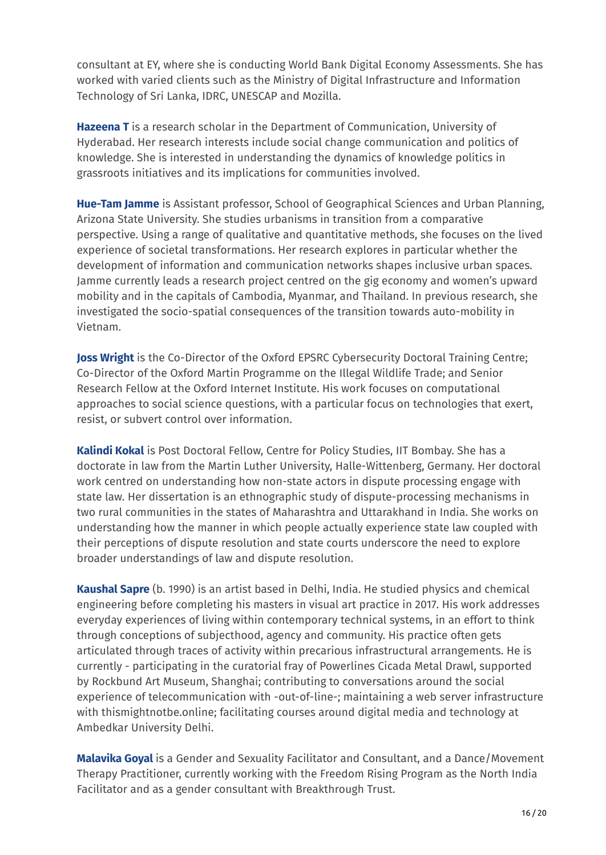consultant at EY, where she is conducting World Bank Digital Economy Assessments. She has worked with varied clients such as the Ministry of Digital Infrastructure and Information Technology of Sri Lanka, IDRC, UNESCAP and Mozilla.

**Hazeena T** is a research scholar in the Department of Communication, University of Hyderabad. Her research interests include social change communication and politics of knowledge. She is interested in understanding the dynamics of knowledge politics in grassroots initiatives and its implications for communities involved.

**Hue-Tam Jamme** is Assistant professor, School of Geographical Sciences and Urban Planning, Arizona State University. She studies urbanisms in transition from a comparative perspective. Using a range of qualitative and quantitative methods, she focuses on the lived experience of societal transformations. Her research explores in particular whether the development of information and communication networks shapes inclusive urban spaces. Jamme currently leads a research project centred on the gig economy and women's upward mobility and in the capitals of Cambodia, Myanmar, and Thailand. In previous research, she investigated the socio-spatial consequences of the transition towards auto-mobility in Vietnam.

**Joss Wright** is the Co-Director of the Oxford EPSRC Cybersecurity Doctoral Training Centre; Co-Director of the Oxford Martin Programme on the Illegal Wildlife Trade; and Senior Research Fellow at the Oxford Internet Institute. His work focuses on computational approaches to social science questions, with a particular focus on technologies that exert, resist, or subvert control over information.

**Kalindi Kokal** is Post Doctoral Fellow, Centre for Policy Studies, IIT Bombay. She has a doctorate in law from the Martin Luther University, Halle-Wittenberg, Germany. Her doctoral work centred on understanding how non-state actors in dispute processing engage with state law. Her dissertation is an ethnographic study of dispute-processing mechanisms in two rural communities in the states of Maharashtra and Uttarakhand in India. She works on understanding how the manner in which people actually experience state law coupled with their perceptions of dispute resolution and state courts underscore the need to explore broader understandings of law and dispute resolution.

**Kaushal Sapre** (b. 1990) is an artist based in Delhi, India. He studied physics and chemical engineering before completing his masters in visual art practice in 2017. His work addresses everyday experiences of living within contemporary technical systems, in an effort to think through conceptions of subjecthood, agency and community. His practice often gets articulated through traces of activity within precarious infrastructural arrangements. He is currently - participating in the curatorial fray of Powerlines Cicada Metal Drawl, supported by Rockbund Art Museum, Shanghai; contributing to conversations around the social experience of telecommunication with -out-of-line-; maintaining a web server infrastructure with thismightnotbe.online; facilitating courses around digital media and technology at Ambedkar University Delhi.

**Malavika Goyal** is a Gender and Sexuality Facilitator and Consultant, and a Dance/Movement Therapy Practitioner, currently working with the Freedom Rising Program as the North India Facilitator and as a gender consultant with Breakthrough Trust.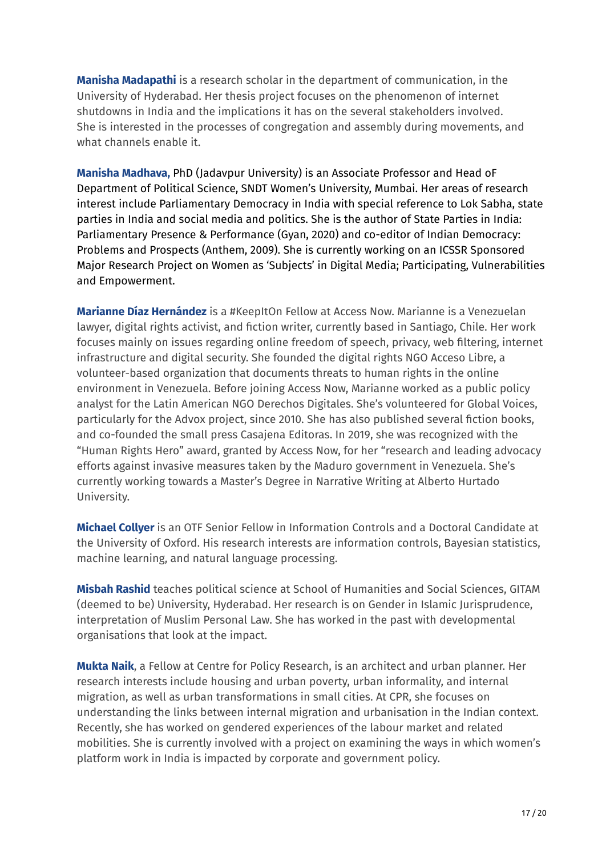**Manisha Madapathi** is a research scholar in the department of communication, in the University of Hyderabad. Her thesis project focuses on the phenomenon of internet shutdowns in India and the implications it has on the several stakeholders involved. She is interested in the processes of congregation and assembly during movements, and what channels enable it.

**Manisha Madhava,** PhD (Jadavpur University) is an Associate Professor and Head oF Department of Political Science, SNDT Women's University, Mumbai. Her areas of research interest include Parliamentary Democracy in India with special reference to Lok Sabha, state parties in India and social media and politics. She is the author of State Parties in India: Parliamentary Presence & Performance (Gyan, 2020) and co-editor of Indian Democracy: Problems and Prospects (Anthem, 2009). She is currently working on an ICSSR Sponsored Major Research Project on Women as 'Subjects' in Digital Media; Participating, Vulnerabilities and Empowerment.

**Marianne Díaz Hernández** is a #KeepItOn Fellow at Access Now. Marianne is a Venezuelan lawyer, digital rights activist, and fiction writer, currently based in Santiago, Chile. Her work focuses mainly on issues regarding online freedom of speech, privacy, web filtering, internet infrastructure and digital security. She founded the digital rights NGO Acceso Libre, a volunteer-based organization that documents threats to human rights in the online environment in Venezuela. Before joining Access Now, Marianne worked as a public policy analyst for the Latin American NGO Derechos Digitales. She's volunteered for Global Voices, particularly for the Advox project, since 2010. She has also published several fiction books, and co-founded the small press Casajena Editoras. In 2019, she was recognized with the "Human Rights Hero" award, granted by Access Now, for her "research and leading advocacy efforts against invasive measures taken by the Maduro government in Venezuela. She's currently working towards a Master's Degree in Narrative Writing at Alberto Hurtado University.

**Michael Collyer** is an OTF Senior Fellow in Information Controls and a Doctoral Candidate at the University of Oxford. His research interests are information controls, Bayesian statistics, machine learning, and natural language processing.

**Misbah Rashid** teaches political science at School of Humanities and Social Sciences, GITAM (deemed to be) University, Hyderabad. Her research is on Gender in Islamic Jurisprudence, interpretation of Muslim Personal Law. She has worked in the past with developmental organisations that look at the impact.

**Mukta Naik**, a Fellow at Centre for Policy Research, is an architect and urban planner. Her research interests include housing and urban poverty, urban informality, and internal migration, as well as urban transformations in small cities. At CPR, she focuses on understanding the links between internal migration and urbanisation in the Indian context. Recently, she has worked on gendered experiences of the labour market and related mobilities. She is currently involved with a project on examining the ways in which women's platform work in India is impacted by corporate and government policy.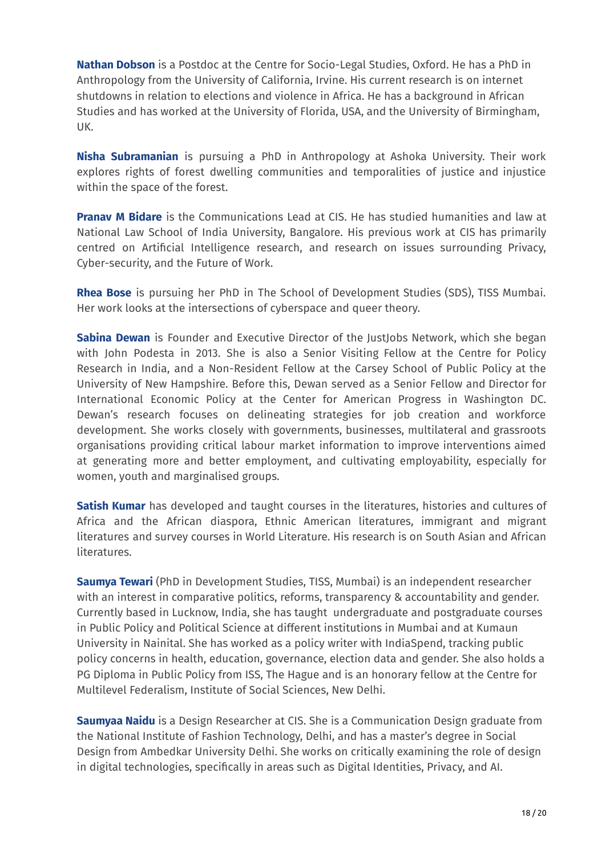**Nathan Dobson** is a Postdoc at the Centre for Socio-Legal Studies, Oxford. He has a PhD in Anthropology from the University of California, Irvine. His current research is on internet shutdowns in relation to elections and violence in Africa. He has a background in African Studies and has worked at the University of Florida, USA, and the University of Birmingham, UK.

**Nisha Subramanian** is pursuing a PhD in Anthropology at Ashoka University. Their work explores rights of forest dwelling communities and temporalities of justice and injustice within the space of the forest.

**Pranav M Bidare** is the Communications Lead at CIS. He has studied humanities and law at National Law School of India University, Bangalore. His previous work at CIS has primarily centred on Artificial Intelligence research, and research on issues surrounding Privacy, Cyber-security, and the Future of Work.

**Rhea Bose** is pursuing her PhD in The School of Development Studies (SDS), TISS Mumbai. Her work looks at the intersections of cyberspace and queer theory.

**Sabina Dewan** is Founder and Executive Director of the JustJobs Network, which she began with John Podesta in 2013. She is also a Senior Visiting Fellow at the Centre for Policy Research in India, and a Non-Resident Fellow at the Carsey School of Public Policy at the University of New Hampshire. Before this, Dewan served as a Senior Fellow and Director for International Economic Policy at the Center for American Progress in Washington DC. Dewan's research focuses on delineating strategies for job creation and workforce development. She works closely with governments, businesses, multilateral and grassroots organisations providing critical labour market information to improve interventions aimed at generating more and better employment, and cultivating employability, especially for women, youth and marginalised groups.

**Satish Kumar** has developed and taught courses in the literatures, histories and cultures of Africa and the African diaspora, Ethnic American literatures, immigrant and migrant literatures and survey courses in World Literature. His research is on South Asian and African literatures.

**Saumya Tewari** (PhD in Development Studies, TISS, Mumbai) is an independent researcher with an interest in comparative politics, reforms, transparency & accountability and gender. Currently based in Lucknow, India, she has taught undergraduate and postgraduate courses in Public Policy and Political Science at different institutions in Mumbai and at Kumaun University in Nainital. She has worked as a policy writer with IndiaSpend, tracking public policy concerns in health, education, governance, election data and gender. She also holds a PG Diploma in Public Policy from ISS, The Hague and is an honorary fellow at the Centre for Multilevel Federalism, Institute of Social Sciences, New Delhi.

**Saumyaa Naidu** is a Design Researcher at CIS. She is a Communication Design graduate from the National Institute of Fashion Technology, Delhi, and has a master's degree in Social Design from Ambedkar University Delhi. She works on critically examining the role of design in digital technologies, specifically in areas such as Digital Identities, Privacy, and AI.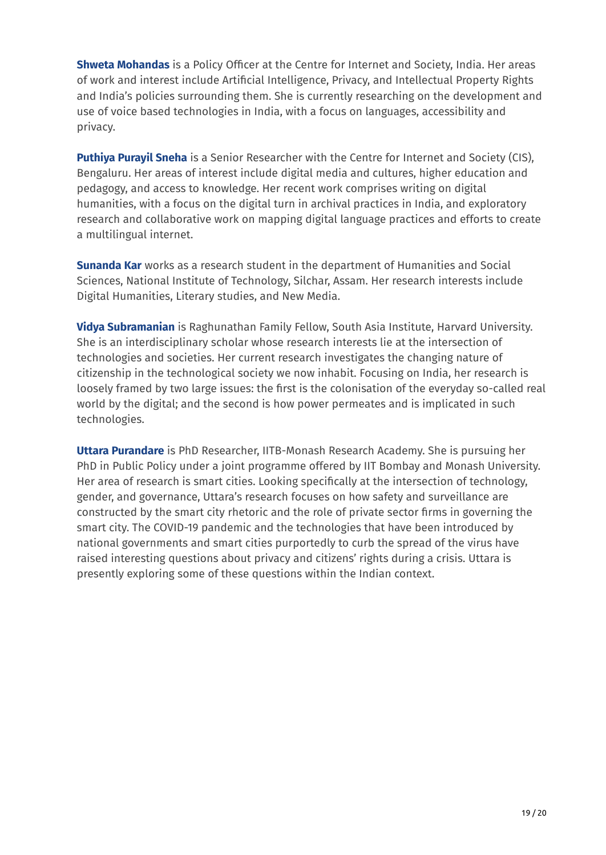**Shweta Mohandas** is a Policy Officer at the Centre for Internet and Society, India. Her areas of work and interest include Artificial Intelligence, Privacy, and Intellectual Property Rights and India's policies surrounding them. She is currently researching on the development and use of voice based technologies in India, with a focus on languages, accessibility and privacy.

**Puthiya Purayil Sneha** is a Senior Researcher with the Centre for Internet and Society (CIS), Bengaluru. Her areas of interest include digital media and cultures, higher education and pedagogy, and access to knowledge. Her recent work comprises writing on digital humanities, with a focus on the digital turn in archival practices in India, and exploratory research and collaborative work on mapping digital language practices and efforts to create a multilingual internet.

**Sunanda Kar** works as a research student in the department of Humanities and Social Sciences, National Institute of Technology, Silchar, Assam. Her research interests include Digital Humanities, Literary studies, and New Media.

**Vidya Subramanian** is Raghunathan Family Fellow, South Asia Institute, Harvard University. She is an interdisciplinary scholar whose research interests lie at the intersection of technologies and societies. Her current research investigates the changing nature of citizenship in the technological society we now inhabit. Focusing on India, her research is loosely framed by two large issues: the first is the colonisation of the everyday so-called real world by the digital; and the second is how power permeates and is implicated in such technologies.

**Uttara Purandare** is PhD Researcher, IITB-Monash Research Academy. She is pursuing her PhD in Public Policy under a joint programme offered by IIT Bombay and Monash University. Her area of research is smart cities. Looking specifically at the intersection of technology, gender, and governance, Uttara's research focuses on how safety and surveillance are constructed by the smart city rhetoric and the role of private sector firms in governing the smart city. The COVID-19 pandemic and the technologies that have been introduced by national governments and smart cities purportedly to curb the spread of the virus have raised interesting questions about privacy and citizens' rights during a crisis. Uttara is presently exploring some of these questions within the Indian context.